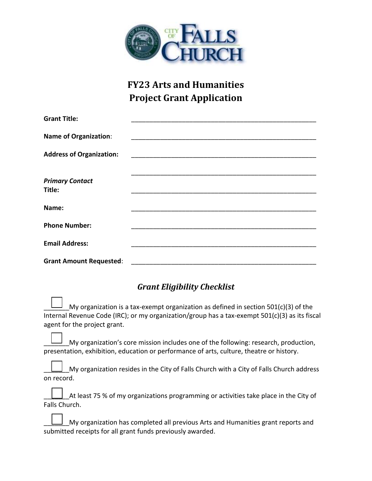

## **FY23 Arts and Humanities Project Grant Application**

| <b>Grant Title:</b>              |  |
|----------------------------------|--|
| <b>Name of Organization:</b>     |  |
| <b>Address of Organization:</b>  |  |
|                                  |  |
| <b>Primary Contact</b><br>Title: |  |
| Name:                            |  |
|                                  |  |
| <b>Phone Number:</b>             |  |
| <b>Email Address:</b>            |  |
|                                  |  |
| <b>Grant Amount Requested:</b>   |  |

## *Grant Eligibility Checklist*

My organization is a tax-exempt organization as defined in section  $501(c)(3)$  of the Internal Revenue Code (IRC); or my organization/group has a tax-exempt 501(c)(3) as its fiscal agent for the project grant.

My organization's core mission includes one of the following: research, production, presentation, exhibition, education or performance of arts, culture, theatre or history.

\_\_\_\_\_\_\_My organization resides in the City of Falls Church with a City of Falls Church address on record.

At least 75 % of my organizations programming or activities take place in the City of Falls Church.

My organization has completed all previous Arts and Humanities grant reports and submitted receipts for all grant funds previously awarded.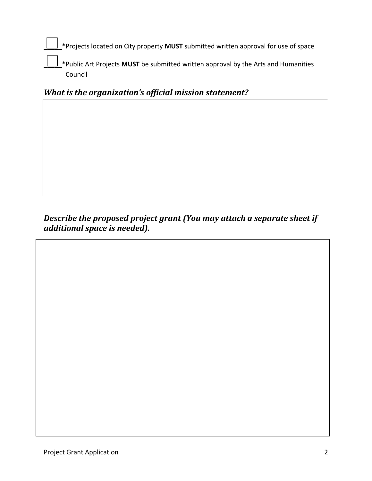\_\_\_\_\_\*Projects located on City property **MUST** submitted written approval for use of space

\_\_\_\_\_\*Public Art Projects **MUST** be submitted written approval by the Arts and Humanities Council

*What is the organization's official mission statement?*

*Describe the proposed project grant (You may attach a separate sheet if additional space is needed).*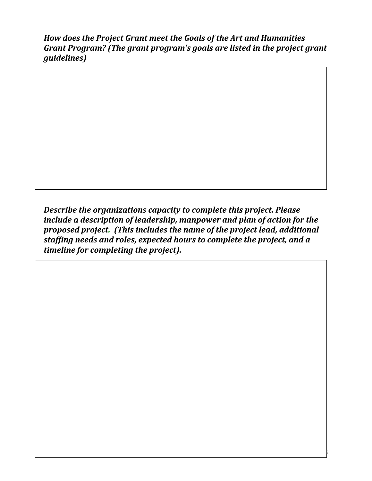*How does the Project Grant meet the Goals of the Art and Humanities Grant Program? (The grant program's goals are listed in the project grant guidelines)*

*Describe the organizations capacity to complete this project. Please include a description of leadership, manpower and plan of action for the proposed project. (This includes the name of the project lead, additional staffing needs and roles, expected hours to complete the project, and a timeline for completing the project).*

Project Grant Application 3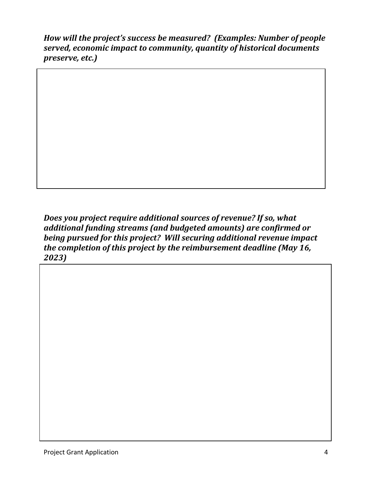*How will the project's success be measured? (Examples: Number of people served, economic impact to community, quantity of historical documents preserve, etc.)*

*Does you project require additional sources of revenue? If so, what additional funding streams (and budgeted amounts) are confirmed or being pursued for this project? Will securing additional revenue impact the completion of this project by the reimbursement deadline (May 16, 2023)*